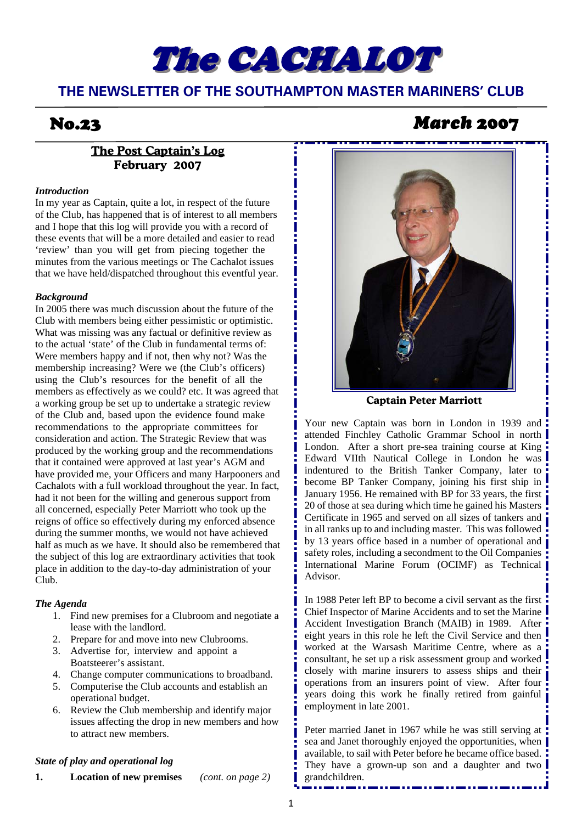# The CACHALOT

## **THE NEWSLETTER OF THE SOUTHAMPTON MASTER MARINERS' CLUB**

## **No.23**

## **The Post Captain's Log February 2007**

#### *Introduction*

In my year as Captain, quite a lot, in respect of the future of the Club, has happened that is of interest to all members and I hope that this log will provide you with a record of these events that will be a more detailed and easier to read 'review' than you will get from piecing together the minutes from the various meetings or The Cachalot issues that we have held/dispatched throughout this eventful year.

#### *Background*

In 2005 there was much discussion about the future of the Club with members being either pessimistic or optimistic. What was missing was any factual or definitive review as to the actual 'state' of the Club in fundamental terms of: Were members happy and if not, then why not? Was the membership increasing? Were we (the Club's officers) using the Club's resources for the benefit of all the members as effectively as we could? etc. It was agreed that a working group be set up to undertake a strategic review of the Club and, based upon the evidence found make recommendations to the appropriate committees for consideration and action. The Strategic Review that was produced by the working group and the recommendations that it contained were approved at last year's AGM and have provided me, your Officers and many Harpooners and Cachalots with a full workload throughout the year. In fact, had it not been for the willing and generous support from all concerned, especially Peter Marriott who took up the reigns of office so effectively during my enforced absence during the summer months, we would not have achieved half as much as we have. It should also be remembered that the subject of this log are extraordinary activities that took place in addition to the day-to-day administration of your Club.

#### *The Agenda*

- 1. Find new premises for a Clubroom and negotiate a lease with the landlord.
- 2. Prepare for and move into new Clubrooms.
- 3. Advertise for, interview and appoint a Boatsteerer's assistant.
- 4. Change computer communications to broadband.
- 5. Computerise the Club accounts and establish an operational budget.
- 6. Review the Club membership and identify major issues affecting the drop in new members and how to attract new members.

#### *State of play and operational log*

**1. Location of new premises** *(cont. on page 2)*

## **March 2007**



**Captain Peter Marriott**

Your new Captain was born in London in 1939 and attended Finchley Catholic Grammar School in north London. After a short pre-sea training course at King  $\overline{\phantom{a}}$ Edward VIIth Nautical College in London he was indentured to the British Tanker Company, later to  $\frac{1}{2}$ become BP Tanker Company, joining his first ship in January 1956. He remained with BP for 33 years, the first 20 of those at sea during which time he gained his Masters Certificate in 1965 and served on all sizes of tankers and in all ranks up to and including master. This was followed  $\cdot$ by 13 years office based in a number of operational and  $\overline{\phantom{a}}$ safety roles, including a secondment to the Oil Companies International Marine Forum (OCIMF) as Technical Advisor.

In 1988 Peter left BP to become a civil servant as the first: Chief Inspector of Marine Accidents and to set the Marine Accident Investigation Branch (MAIB) in 1989. After eight years in this role he left the Civil Service and then worked at the Warsash Maritime Centre, where as a consultant, he set up a risk assessment group and worked closely with marine insurers to assess ships and their operations from an insurers point of view. After four years doing this work he finally retired from gainful employment in late 2001.

Peter married Janet in 1967 while he was still serving at sea and Janet thoroughly enjoyed the opportunities, when available, to sail with Peter before he became office based. They have a grown-up son and a daughter and two grandchildren.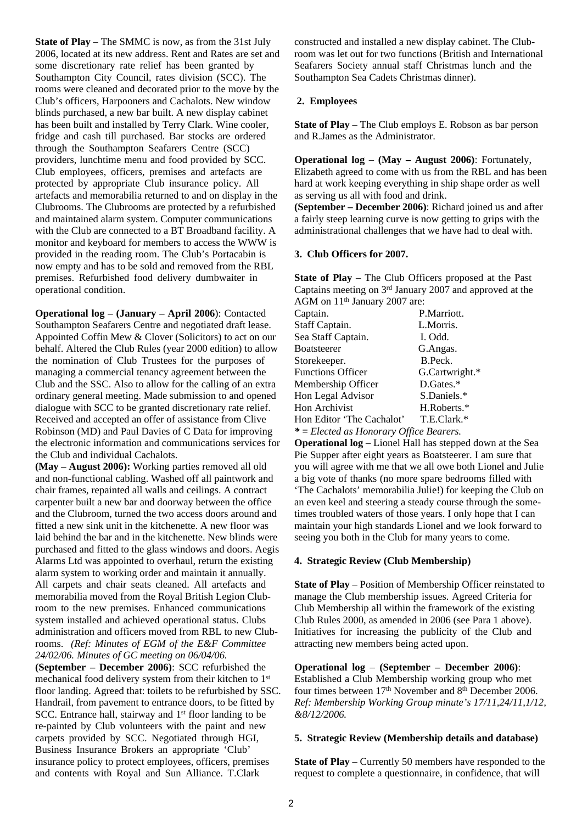**State of Play** – The SMMC is now, as from the 31st July 2006, located at its new address. Rent and Rates are set and some discretionary rate relief has been granted by Southampton City Council, rates division (SCC). The rooms were cleaned and decorated prior to the move by the Club's officers, Harpooners and Cachalots. New window blinds purchased, a new bar built. A new display cabinet has been built and installed by Terry Clark. Wine cooler, fridge and cash till purchased. Bar stocks are ordered through the Southampton Seafarers Centre (SCC) providers, lunchtime menu and food provided by SCC. Club employees, officers, premises and artefacts are protected by appropriate Club insurance policy. All artefacts and memorabilia returned to and on display in the Clubrooms. The Clubrooms are protected by a refurbished and maintained alarm system. Computer communications with the Club are connected to a BT Broadband facility. A monitor and keyboard for members to access the WWW is provided in the reading room. The Club's Portacabin is now empty and has to be sold and removed from the RBL premises. Refurbished food delivery dumbwaiter in operational condition.

**Operational log – (January – April 2006**): Contacted Southampton Seafarers Centre and negotiated draft lease. Appointed Coffin Mew & Clover (Solicitors) to act on our behalf. Altered the Club Rules (year 2000 edition) to allow the nomination of Club Trustees for the purposes of managing a commercial tenancy agreement between the Club and the SSC. Also to allow for the calling of an extra ordinary general meeting. Made submission to and opened dialogue with SCC to be granted discretionary rate relief. Received and accepted an offer of assistance from Clive Robinson (MD) and Paul Davies of C Data for improving the electronic information and communications services for the Club and individual Cachalots.

**(May – August 2006):** Working parties removed all old and non-functional cabling. Washed off all paintwork and chair frames, repainted all walls and ceilings. A contract carpenter built a new bar and doorway between the office and the Clubroom, turned the two access doors around and fitted a new sink unit in the kitchenette. A new floor was laid behind the bar and in the kitchenette. New blinds were purchased and fitted to the glass windows and doors. Aegis Alarms Ltd was appointed to overhaul, return the existing alarm system to working order and maintain it annually. All carpets and chair seats cleaned. All artefacts and memorabilia moved from the Royal British Legion Clubroom to the new premises. Enhanced communications system installed and achieved operational status. Clubs administration and officers moved from RBL to new Clubrooms. *(Ref: Minutes of EGM of the E&F Committee 24/02/06. Minutes of GC meeting on 06/04/06.*

**(September – December 2006)**: SCC refurbished the mechanical food delivery system from their kitchen to 1st floor landing. Agreed that: toilets to be refurbished by SSC. Handrail, from pavement to entrance doors, to be fitted by SCC. Entrance hall, stairway and  $1<sup>st</sup>$  floor landing to be re-painted by Club volunteers with the paint and new carpets provided by SCC. Negotiated through HGI, Business Insurance Brokers an appropriate 'Club' insurance policy to protect employees, officers, premises and contents with Royal and Sun Alliance. T.Clark

constructed and installed a new display cabinet. The Clubroom was let out for two functions (British and International Seafarers Society annual staff Christmas lunch and the Southampton Sea Cadets Christmas dinner).

#### **2. Employees**

**State of Play** – The Club employs E. Robson as bar person and R.James as the Administrator.

**Operational log** – **(May – August 2006)**: Fortunately, Elizabeth agreed to come with us from the RBL and has been hard at work keeping everything in ship shape order as well as serving us all with food and drink.

**(September – December 2006)**: Richard joined us and after a fairly steep learning curve is now getting to grips with the administrational challenges that we have had to deal with.

#### **3. Club Officers for 2007.**

**State of Play** – The Club Officers proposed at the Past Captains meeting on 3rd January 2007 and approved at the AGM on 11th January 2007 are:

| P.Marriott.                             |
|-----------------------------------------|
| L.Morris.                               |
| I. Odd.                                 |
| G.Angas.                                |
| B.Peck.                                 |
| G.Cartwright.*                          |
| D.Gates.*                               |
| S.Daniels.*                             |
| H.Roberts.*                             |
| T.E.Clark.*                             |
| * = Elected as Honorary Office Bearers. |
|                                         |

**Operational log** – Lionel Hall has stepped down at the Sea Pie Supper after eight years as Boatsteerer. I am sure that you will agree with me that we all owe both Lionel and Julie a big vote of thanks (no more spare bedrooms filled with 'The Cachalots' memorabilia Julie!) for keeping the Club on an even keel and steering a steady course through the sometimes troubled waters of those years. I only hope that I can maintain your high standards Lionel and we look forward to seeing you both in the Club for many years to come.

#### **4. Strategic Review (Club Membership)**

**State of Play** – Position of Membership Officer reinstated to manage the Club membership issues. Agreed Criteria for Club Membership all within the framework of the existing Club Rules 2000, as amended in 2006 (see Para 1 above). Initiatives for increasing the publicity of the Club and attracting new members being acted upon.

**Operational log** – **(September – December 2006)**: Established a Club Membership working group who met four times between  $17<sup>th</sup>$  November and 8<sup>th</sup> December 2006. *Ref: Membership Working Group minute's 17/11,24/11,1/12, &8/12/2006.*

#### **5. Strategic Review (Membership details and database)**

**State of Play** – Currently 50 members have responded to the request to complete a questionnaire, in confidence, that will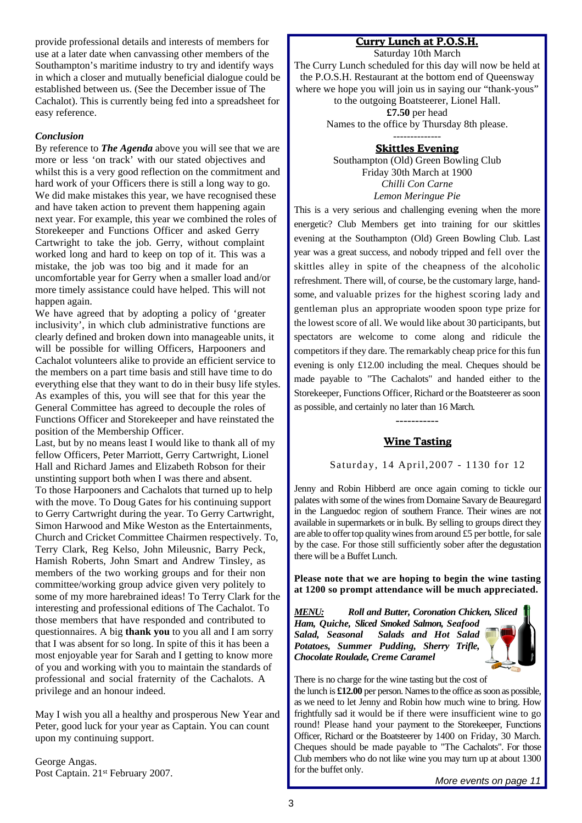provide professional details and interests of members for use at a later date when canvassing other members of the Southampton's maritime industry to try and identify ways in which a closer and mutually beneficial dialogue could be established between us. (See the December issue of The Cachalot). This is currently being fed into a spreadsheet for easy reference.

#### *Conclusion*

By reference to *The Agenda* above you will see that we are more or less 'on track' with our stated objectives and whilst this is a very good reflection on the commitment and hard work of your Officers there is still a long way to go. We did make mistakes this year, we have recognised these and have taken action to prevent them happening again next year. For example, this year we combined the roles of Storekeeper and Functions Officer and asked Gerry Cartwright to take the job. Gerry, without complaint worked long and hard to keep on top of it. This was a mistake, the job was too big and it made for an uncomfortable year for Gerry when a smaller load and/or more timely assistance could have helped. This will not happen again.

We have agreed that by adopting a policy of 'greater inclusivity', in which club administrative functions are clearly defined and broken down into manageable units, it will be possible for willing Officers, Harpooners and Cachalot volunteers alike to provide an efficient service to the members on a part time basis and still have time to do everything else that they want to do in their busy life styles. As examples of this, you will see that for this year the General Committee has agreed to decouple the roles of Functions Officer and Storekeeper and have reinstated the position of the Membership Officer.

Last, but by no means least I would like to thank all of my fellow Officers, Peter Marriott, Gerry Cartwright, Lionel Hall and Richard James and Elizabeth Robson for their unstinting support both when I was there and absent. To those Harpooners and Cachalots that turned up to help with the move. To Doug Gates for his continuing support to Gerry Cartwright during the year. To Gerry Cartwright, Simon Harwood and Mike Weston as the Entertainments, Church and Cricket Committee Chairmen respectively. To, Terry Clark, Reg Kelso, John Mileusnic, Barry Peck, Hamish Roberts, John Smart and Andrew Tinsley, as members of the two working groups and for their non committee/working group advice given very politely to some of my more harebrained ideas! To Terry Clark for the interesting and professional editions of The Cachalot. To those members that have responded and contributed to questionnaires. A big **thank you** to you all and I am sorry that I was absent for so long. In spite of this it has been a most enjoyable year for Sarah and I getting to know more of you and working with you to maintain the standards of professional and social fraternity of the Cachalots. A privilege and an honour indeed.

May I wish you all a healthy and prosperous New Year and Peter, good luck for your year as Captain. You can count upon my continuing support.

George Angas. Post Captain. 21<sup>st</sup> February 2007.

### **Curry Lunch at P.O.S.H.**

Saturday 10th March

The Curry Lunch scheduled for this day will now be held at the P.O.S.H. Restaurant at the bottom end of Queensway where we hope you will join us in saying our "thank-yous" to the outgoing Boatsteerer, Lionel Hall.

**£7.50** per head Names to the office by Thursday 8th please.

#### -------------- **Skittles Evening**

Southampton (Old) Green Bowling Club Friday 30th March at 1900 *Chilli Con Carne Lemon Meringue Pie*

This is a very serious and challenging evening when the more energetic? Club Members get into training for our skittles evening at the Southampton (Old) Green Bowling Club. Last year was a great success, and nobody tripped and fell over the skittles alley in spite of the cheapness of the alcoholic refreshment. There will, of course, be the customary large, handsome, and valuable prizes for the highest scoring lady and gentleman plus an appropriate wooden spoon type prize for the lowest score of all. We would like about 30 participants, but spectators are welcome to come along and ridicule the competitors if they dare. The remarkably cheap price for this fun evening is only £12.00 including the meal. Cheques should be made payable to "The Cachalots" and handed either to the Storekeeper, Functions Officer, Richard or the Boatsteerer as soon as possible, and certainly no later than 16 March.

#### **Wine Tasting**

-----------

Saturday, 14 April, 2007 - 1130 for 12

Jenny and Robin Hibberd are once again coming to tickle our palates with some of the wines from Domaine Savary de Beauregard in the Languedoc region of southern France. Their wines are not available in supermarkets or in bulk. By selling to groups direct they are able to offer top quality wines from around £5 per bottle, for sale by the case. For those still sufficiently sober after the degustation there will be a Buffet Lunch.

**Please note that we are hoping to begin the wine tasting at 1200 so prompt attendance will be much appreciated.**

*MENU: Roll and Butter, Coronation Chicken, Sliced Ham, Quiche, Sliced Smoked Salmon, Seafood Salad, Seasonal Salads and Hot Salad Potatoes, Summer Pudding, Sherry Trifle, Chocolate Roulade, Creme Caramel*



There is no charge for the wine tasting but the cost of

the lunch is **£12.00** per person. Names to the office as soon as possible, as we need to let Jenny and Robin how much wine to bring. How frightfully sad it would be if there were insufficient wine to go round! Please hand your payment to the Storekeeper, Functions Officer, Richard or the Boatsteerer by 1400 on Friday, 30 March. Cheques should be made payable to "The Cachalots". For those Club members who do not like wine you may turn up at about 1300 for the buffet only.

*More events on page 11*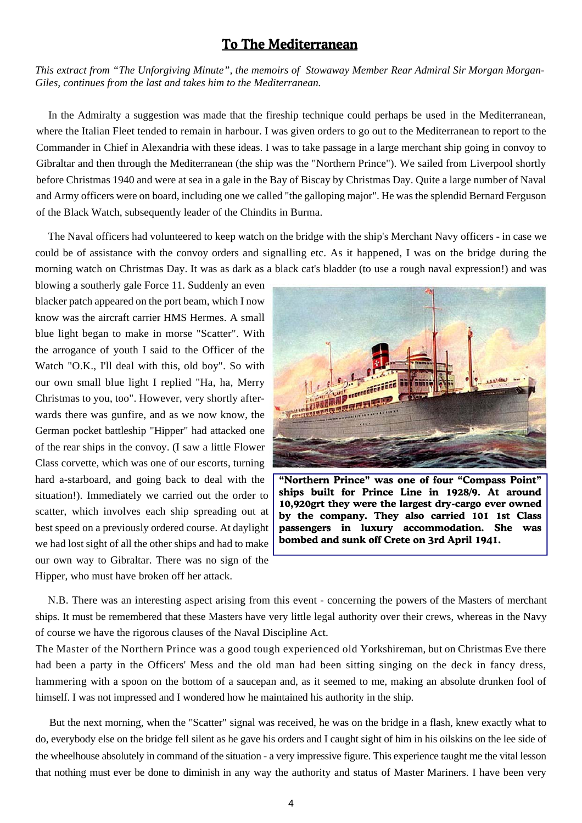## **To The Mediterranean**

*This extract from "The Unforgiving Minute", the memoirs of Stowaway Member Rear Admiral Sir Morgan Morgan-Giles, continues from the last and takes him to the Mediterranean.*

In the Admiralty a suggestion was made that the fireship technique could perhaps be used in the Mediterranean, where the Italian Fleet tended to remain in harbour. I was given orders to go out to the Mediterranean to report to the Commander in Chief in Alexandria with these ideas. I was to take passage in a large merchant ship going in convoy to Gibraltar and then through the Mediterranean (the ship was the "Northern Prince"). We sailed from Liverpool shortly before Christmas 1940 and were at sea in a gale in the Bay of Biscay by Christmas Day. Quite a large number of Naval and Army officers were on board, including one we called "the galloping major". He was the splendid Bernard Ferguson of the Black Watch, subsequently leader of the Chindits in Burma.

The Naval officers had volunteered to keep watch on the bridge with the ship's Merchant Navy officers - in case we could be of assistance with the convoy orders and signalling etc. As it happened, I was on the bridge during the morning watch on Christmas Day. It was as dark as a black cat's bladder (to use a rough naval expression!) and was

blowing a southerly gale Force 11. Suddenly an even blacker patch appeared on the port beam, which I now know was the aircraft carrier HMS Hermes. A small blue light began to make in morse "Scatter". With the arrogance of youth I said to the Officer of the Watch "O.K., I'll deal with this, old boy". So with our own small blue light I replied "Ha, ha, Merry Christmas to you, too". However, very shortly afterwards there was gunfire, and as we now know, the German pocket battleship "Hipper" had attacked one of the rear ships in the convoy. (I saw a little Flower Class corvette, which was one of our escorts, turning hard a-starboard, and going back to deal with the situation!). Immediately we carried out the order to scatter, which involves each ship spreading out at best speed on a previously ordered course. At daylight we had lost sight of all the other ships and had to make our own way to Gibraltar. There was no sign of the Hipper, who must have broken off her attack.



**"Northern Prince" was one of four "Compass Point" ships built for Prince Line in 1928/9. At around 10,920grt they were the largest dry-cargo ever owned by the company. They also carried 101 1st Class passengers in luxury accommodation. She was bombed and sunk off Crete on 3rd April 1941.**

N.B. There was an interesting aspect arising from this event - concerning the powers of the Masters of merchant ships. It must be remembered that these Masters have very little legal authority over their crews, whereas in the Navy of course we have the rigorous clauses of the Naval Discipline Act.

The Master of the Northern Prince was a good tough experienced old Yorkshireman, but on Christmas Eve there had been a party in the Officers' Mess and the old man had been sitting singing on the deck in fancy dress, hammering with a spoon on the bottom of a saucepan and, as it seemed to me, making an absolute drunken fool of himself. I was not impressed and I wondered how he maintained his authority in the ship.

But the next morning, when the "Scatter" signal was received, he was on the bridge in a flash, knew exactly what to do, everybody else on the bridge fell silent as he gave his orders and I caught sight of him in his oilskins on the lee side of the wheelhouse absolutely in command of the situation - a very impressive figure. This experience taught me the vital lesson that nothing must ever be done to diminish in any way the authority and status of Master Mariners. I have been very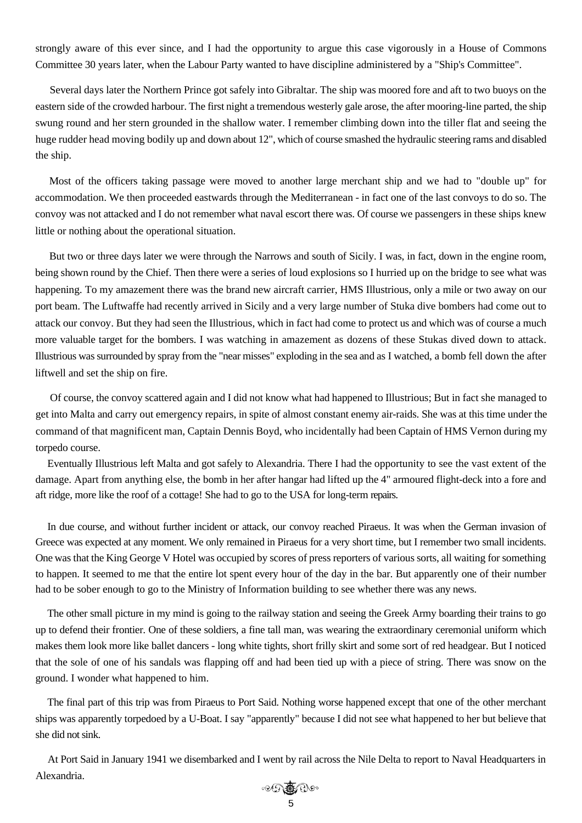strongly aware of this ever since, and I had the opportunity to argue this case vigorously in a House of Commons Committee 30 years later, when the Labour Party wanted to have discipline administered by a "Ship's Committee".

Several days later the Northern Prince got safely into Gibraltar. The ship was moored fore and aft to two buoys on the eastern side of the crowded harbour. The first night a tremendous westerly gale arose, the after mooring-line parted, the ship swung round and her stern grounded in the shallow water. I remember climbing down into the tiller flat and seeing the huge rudder head moving bodily up and down about 12", which of course smashed the hydraulic steering rams and disabled the ship.

Most of the officers taking passage were moved to another large merchant ship and we had to "double up" for accommodation. We then proceeded eastwards through the Mediterranean - in fact one of the last convoys to do so. The convoy was not attacked and I do not remember what naval escort there was. Of course we passengers in these ships knew little or nothing about the operational situation.

But two or three days later we were through the Narrows and south of Sicily. I was, in fact, down in the engine room, being shown round by the Chief. Then there were a series of loud explosions so I hurried up on the bridge to see what was happening. To my amazement there was the brand new aircraft carrier, HMS Illustrious, only a mile or two away on our port beam. The Luftwaffe had recently arrived in Sicily and a very large number of Stuka dive bombers had come out to attack our convoy. But they had seen the Illustrious, which in fact had come to protect us and which was of course a much more valuable target for the bombers. I was watching in amazement as dozens of these Stukas dived down to attack. Illustrious was surrounded by spray from the "near misses" exploding in the sea and as I watched, a bomb fell down the after liftwell and set the ship on fire.

Of course, the convoy scattered again and I did not know what had happened to Illustrious; But in fact she managed to get into Malta and carry out emergency repairs, in spite of almost constant enemy air-raids. She was at this time under the command of that magnificent man, Captain Dennis Boyd, who incidentally had been Captain of HMS Vernon during my torpedo course.

Eventually Illustrious left Malta and got safely to Alexandria. There I had the opportunity to see the vast extent of the damage. Apart from anything else, the bomb in her after hangar had lifted up the 4" armoured flight-deck into a fore and aft ridge, more like the roof of a cottage! She had to go to the USA for long-term repairs.

In due course, and without further incident or attack, our convoy reached Piraeus. It was when the German invasion of Greece was expected at any moment. We only remained in Piraeus for a very short time, but I remember two small incidents. One was that the King George V Hotel was occupied by scores of press reporters of various sorts, all waiting for something to happen. It seemed to me that the entire lot spent every hour of the day in the bar. But apparently one of their number had to be sober enough to go to the Ministry of Information building to see whether there was any news.

The other small picture in my mind is going to the railway station and seeing the Greek Army boarding their trains to go up to defend their frontier. One of these soldiers, a fine tall man, was wearing the extraordinary ceremonial uniform which makes them look more like ballet dancers - long white tights, short frilly skirt and some sort of red headgear. But I noticed that the sole of one of his sandals was flapping off and had been tied up with a piece of string. There was snow on the ground. I wonder what happened to him.

The final part of this trip was from Piraeus to Port Said. Nothing worse happened except that one of the other merchant ships was apparently torpedoed by a U-Boat. I say "apparently" because I did not see what happened to her but believe that she did not sink.

At Port Said in January 1941 we disembarked and I went by rail across the Nile Delta to report to Naval Headquarters in Alexandria.

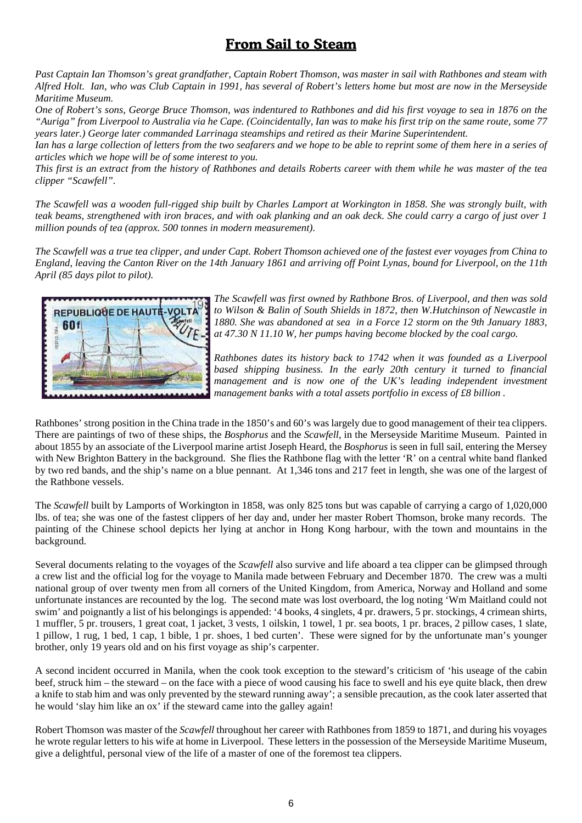## **From Sail to Steam**

*Past Captain Ian Thomson's great grandfather, Captain Robert Thomson, was master in sail with Rathbones and steam with Alfred Holt. Ian, who was Club Captain in 1991, has several of Robert's letters home but most are now in the Merseyside Maritime Museum.*

*One of Robert's sons, George Bruce Thomson, was indentured to Rathbones and did his first voyage to sea in 1876 on the "Auriga" from Liverpool to Australia via he Cape. (Coincidentally, Ian was to make his first trip on the same route, some 77 years later.) George later commanded Larrinaga steamships and retired as their Marine Superintendent.*

*Ian has a large collection of letters from the two seafarers and we hope to be able to reprint some of them here in a series of articles which we hope will be of some interest to you.*

*This first is an extract from the history of Rathbones and details Roberts career with them while he was master of the tea clipper "Scawfell".*

*The Scawfell was a wooden full-rigged ship built by Charles Lamport at Workington in 1858. She was strongly built, with teak beams, strengthened with iron braces, and with oak planking and an oak deck. She could carry a cargo of just over 1 million pounds of tea (approx. 500 tonnes in modern measurement).*

*The Scawfell was a true tea clipper, and under Capt. Robert Thomson achieved one of the fastest ever voyages from China to England, leaving the Canton River on the 14th January 1861 and arriving off Point Lynas, bound for Liverpool, on the 11th April (85 days pilot to pilot).*



*The Scawfell was first owned by Rathbone Bros. of Liverpool, and then was sold to Wilson & Balin of South Shields in 1872, then W.Hutchinson of Newcastle in 1880. She was abandoned at sea in a Force 12 storm on the 9th January 1883, at 47.30 N 11.10 W, her pumps having become blocked by the coal cargo.*

*Rathbones dates its history back to 1742 when it was founded as a Liverpool based shipping business. In the early 20th century it turned to financial management and is now one of the UK's leading independent investment management banks with a total assets portfolio in excess of £8 billion .*

Rathbones' strong position in the China trade in the 1850's and 60's was largely due to good management of their tea clippers. There are paintings of two of these ships, the *Bosphorus* and the *Scawfell*, in the Merseyside Maritime Museum. Painted in about 1855 by an associate of the Liverpool marine artist Joseph Heard, the *Bosphorus* is seen in full sail, entering the Mersey with New Brighton Battery in the background. She flies the Rathbone flag with the letter 'R' on a central white band flanked by two red bands, and the ship's name on a blue pennant. At 1,346 tons and 217 feet in length, she was one of the largest of the Rathbone vessels.

The *Scawfell* built by Lamports of Workington in 1858, was only 825 tons but was capable of carrying a cargo of 1,020,000 lbs. of tea; she was one of the fastest clippers of her day and, under her master Robert Thomson, broke many records. The painting of the Chinese school depicts her lying at anchor in Hong Kong harbour, with the town and mountains in the background.

Several documents relating to the voyages of the *Scawfell* also survive and life aboard a tea clipper can be glimpsed through a crew list and the official log for the voyage to Manila made between February and December 1870. The crew was a multi national group of over twenty men from all corners of the United Kingdom, from America, Norway and Holland and some unfortunate instances are recounted by the log. The second mate was lost overboard, the log noting 'Wm Maitland could not swim' and poignantly a list of his belongings is appended: '4 books, 4 singlets, 4 pr. drawers, 5 pr. stockings, 4 crimean shirts, 1 muffler, 5 pr. trousers, 1 great coat, 1 jacket, 3 vests, 1 oilskin, 1 towel, 1 pr. sea boots, 1 pr. braces, 2 pillow cases, 1 slate, 1 pillow, 1 rug, 1 bed, 1 cap, 1 bible, 1 pr. shoes, 1 bed curten'. These were signed for by the unfortunate man's younger brother, only 19 years old and on his first voyage as ship's carpenter.

A second incident occurred in Manila, when the cook took exception to the steward's criticism of 'his useage of the cabin beef, struck him – the steward – on the face with a piece of wood causing his face to swell and his eye quite black, then drew a knife to stab him and was only prevented by the steward running away'; a sensible precaution, as the cook later asserted that he would 'slay him like an ox' if the steward came into the galley again!

Robert Thomson was master of the *Scawfell* throughout her career with Rathbones from 1859 to 1871, and during his voyages he wrote regular letters to his wife at home in Liverpool. These letters in the possession of the Merseyside Maritime Museum, give a delightful, personal view of the life of a master of one of the foremost tea clippers.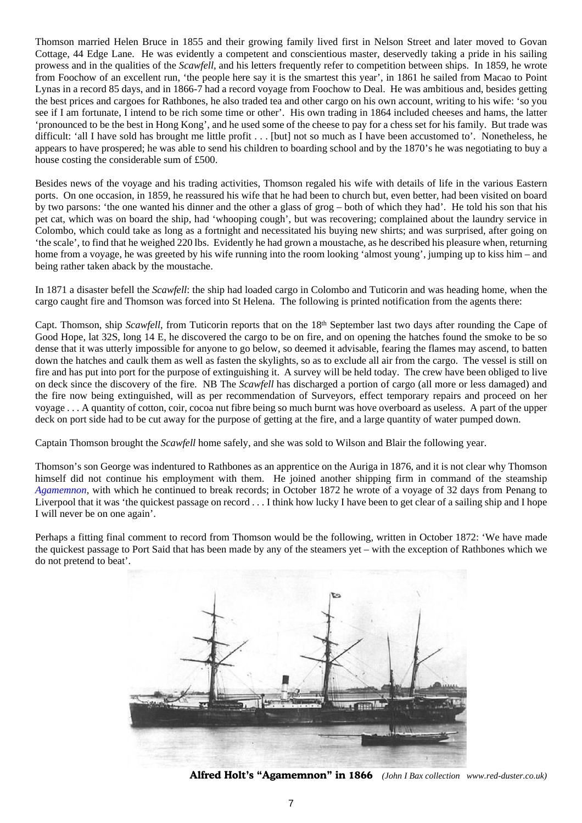Thomson married Helen Bruce in 1855 and their growing family lived first in Nelson Street and later moved to Govan Cottage, 44 Edge Lane. He was evidently a competent and conscientious master, deservedly taking a pride in his sailing prowess and in the qualities of the *Scawfell*, and his letters frequently refer to competition between ships. In 1859, he wrote from Foochow of an excellent run, 'the people here say it is the smartest this year', in 1861 he sailed from Macao to Point Lynas in a record 85 days, and in 1866-7 had a record voyage from Foochow to Deal. He was ambitious and, besides getting the best prices and cargoes for Rathbones, he also traded tea and other cargo on his own account, writing to his wife: 'so you see if I am fortunate, I intend to be rich some time or other'. His own trading in 1864 included cheeses and hams, the latter 'pronounced to be the best in Hong Kong', and he used some of the cheese to pay for a chess set for his family. But trade was difficult: 'all I have sold has brought me little profit . . . [but] not so much as I have been accustomed to'. Nonetheless, he appears to have prospered; he was able to send his children to boarding school and by the 1870's he was negotiating to buy a house costing the considerable sum of £500.

Besides news of the voyage and his trading activities, Thomson regaled his wife with details of life in the various Eastern ports. On one occasion, in 1859, he reassured his wife that he had been to church but, even better, had been visited on board by two parsons: 'the one wanted his dinner and the other a glass of grog – both of which they had'. He told his son that his pet cat, which was on board the ship, had 'whooping cough', but was recovering; complained about the laundry service in Colombo, which could take as long as a fortnight and necessitated his buying new shirts; and was surprised, after going on 'the scale', to find that he weighed 220 lbs. Evidently he had grown a moustache, as he described his pleasure when, returning home from a voyage, he was greeted by his wife running into the room looking 'almost young', jumping up to kiss him – and being rather taken aback by the moustache.

In 1871 a disaster befell the *Scawfell*: the ship had loaded cargo in Colombo and Tuticorin and was heading home, when the cargo caught fire and Thomson was forced into St Helena. The following is printed notification from the agents there:

Capt. Thomson, ship *Scawfell*, from Tuticorin reports that on the 18<sup>th</sup> September last two days after rounding the Cape of Good Hope, lat 32S, long 14 E, he discovered the cargo to be on fire, and on opening the hatches found the smoke to be so dense that it was utterly impossible for anyone to go below, so deemed it advisable, fearing the flames may ascend, to batten down the hatches and caulk them as well as fasten the skylights, so as to exclude all air from the cargo. The vessel is still on fire and has put into port for the purpose of extinguishing it. A survey will be held today. The crew have been obliged to live on deck since the discovery of the fire. NB The *Scawfell* has discharged a portion of cargo (all more or less damaged) and the fire now being extinguished, will as per recommendation of Surveyors, effect temporary repairs and proceed on her voyage . . . A quantity of cotton, coir, cocoa nut fibre being so much burnt was hove overboard as useless. A part of the upper deck on port side had to be cut away for the purpose of getting at the fire, and a large quantity of water pumped down.

Captain Thomson brought the *Scawfell* home safely, and she was sold to Wilson and Blair the following year.

Thomson's son George was indentured to Rathbones as an apprentice on the Auriga in 1876, and it is not clear why Thomson himself did not continue his employment with them. He joined another shipping firm in command of the steamship *Agamemnon*, with which he continued to break records; in October 1872 he wrote of a voyage of 32 days from Penang to Liverpool that it was 'the quickest passage on record . . . I think how lucky I have been to get clear of a sailing ship and I hope I will never be on one again'.

Perhaps a fitting final comment to record from Thomson would be the following, written in October 1872: 'We have made the quickest passage to Port Said that has been made by any of the steamers yet – with the exception of Rathbones which we do not pretend to beat'.



**Alfred Holt's "Agamemnon" in 1866** *(John I Bax collection www.red-duster.co.uk)*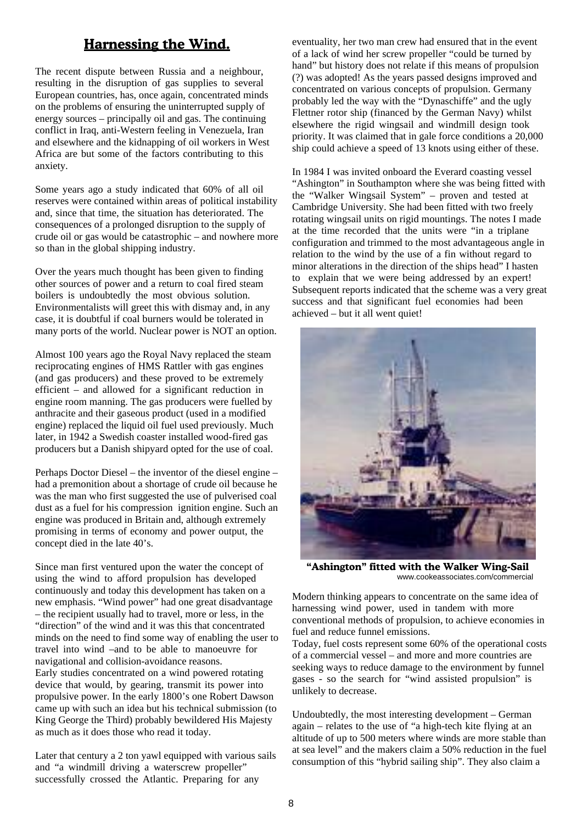## **Harnessing the Wind.**

The recent dispute between Russia and a neighbour, resulting in the disruption of gas supplies to several European countries, has, once again, concentrated minds on the problems of ensuring the uninterrupted supply of energy sources – principally oil and gas. The continuing conflict in Iraq, anti-Western feeling in Venezuela, Iran and elsewhere and the kidnapping of oil workers in West Africa are but some of the factors contributing to this anxiety.

Some years ago a study indicated that 60% of all oil reserves were contained within areas of political instability and, since that time, the situation has deteriorated. The consequences of a prolonged disruption to the supply of crude oil or gas would be catastrophic – and nowhere more so than in the global shipping industry.

Over the years much thought has been given to finding other sources of power and a return to coal fired steam boilers is undoubtedly the most obvious solution. Environmentalists will greet this with dismay and, in any case, it is doubtful if coal burners would be tolerated in many ports of the world. Nuclear power is NOT an option.

Almost 100 years ago the Royal Navy replaced the steam reciprocating engines of HMS Rattler with gas engines (and gas producers) and these proved to be extremely efficient – and allowed for a significant reduction in engine room manning. The gas producers were fuelled by anthracite and their gaseous product (used in a modified engine) replaced the liquid oil fuel used previously. Much later, in 1942 a Swedish coaster installed wood-fired gas producers but a Danish shipyard opted for the use of coal.

Perhaps Doctor Diesel – the inventor of the diesel engine – had a premonition about a shortage of crude oil because he was the man who first suggested the use of pulverised coal dust as a fuel for his compression ignition engine. Such an engine was produced in Britain and, although extremely promising in terms of economy and power output, the concept died in the late 40's.

Since man first ventured upon the water the concept of using the wind to afford propulsion has developed continuously and today this development has taken on a new emphasis. "Wind power" had one great disadvantage – the recipient usually had to travel, more or less, in the "direction" of the wind and it was this that concentrated minds on the need to find some way of enabling the user to travel into wind –and to be able to manoeuvre for navigational and collision-avoidance reasons. Early studies concentrated on a wind powered rotating device that would, by gearing, transmit its power into propulsive power. In the early 1800's one Robert Dawson came up with such an idea but his technical submission (to King George the Third) probably bewildered His Majesty as much as it does those who read it today.

Later that century a 2 ton yawl equipped with various sails and "a windmill driving a waterscrew propeller" successfully crossed the Atlantic. Preparing for any

eventuality, her two man crew had ensured that in the event of a lack of wind her screw propeller "could be turned by hand" but history does not relate if this means of propulsion (?) was adopted! As the years passed designs improved and concentrated on various concepts of propulsion. Germany probably led the way with the "Dynaschiffe" and the ugly Flettner rotor ship (financed by the German Navy) whilst elsewhere the rigid wingsail and windmill design took priority. It was claimed that in gale force conditions a 20,000 ship could achieve a speed of 13 knots using either of these.

In 1984 I was invited onboard the Everard coasting vessel "Ashington" in Southampton where she was being fitted with the "Walker Wingsail System" – proven and tested at Cambridge University. She had been fitted with two freely rotating wingsail units on rigid mountings. The notes I made at the time recorded that the units were "in a triplane configuration and trimmed to the most advantageous angle in relation to the wind by the use of a fin without regard to minor alterations in the direction of the ships head" I hasten to explain that we were being addressed by an expert! Subsequent reports indicated that the scheme was a very great success and that significant fuel economies had been achieved – but it all went quiet!



**"Ashington" fitted with the Walker Wing-Sail** www.cookeassociates.com/commercial

Modern thinking appears to concentrate on the same idea of harnessing wind power, used in tandem with more conventional methods of propulsion, to achieve economies in fuel and reduce funnel emissions.

Today, fuel costs represent some 60% of the operational costs of a commercial vessel – and more and more countries are seeking ways to reduce damage to the environment by funnel gases - so the search for "wind assisted propulsion" is unlikely to decrease.

Undoubtedly, the most interesting development – German again – relates to the use of "a high-tech kite flying at an altitude of up to 500 meters where winds are more stable than at sea level" and the makers claim a 50% reduction in the fuel consumption of this "hybrid sailing ship". They also claim a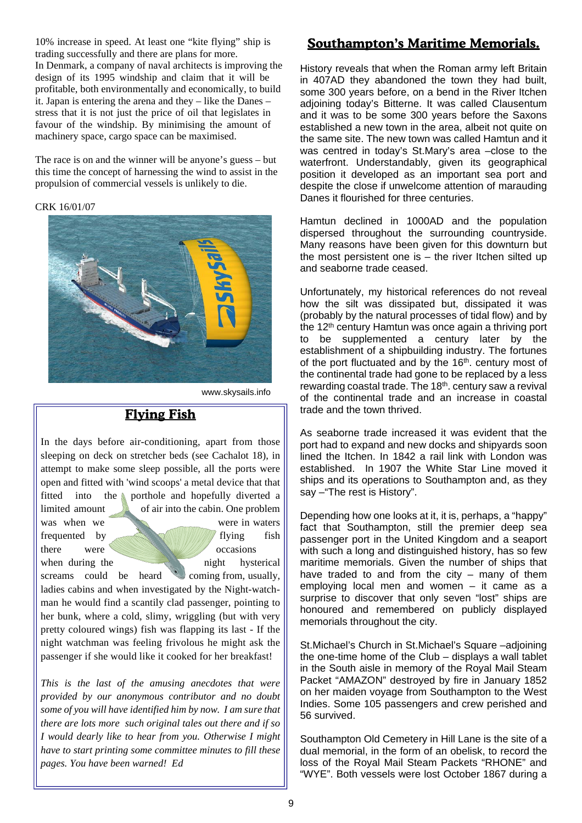10% increase in speed. At least one "kite flying" ship is trading successfully and there are plans for more. In Denmark, a company of naval architects is improving the design of its 1995 windship and claim that it will be profitable, both environmentally and economically, to build it. Japan is entering the arena and they – like the Danes – stress that it is not just the price of oil that legislates in favour of the windship. By minimising the amount of machinery space, cargo space can be maximised.

The race is on and the winner will be anyone's guess – but this time the concept of harnessing the wind to assist in the propulsion of commercial vessels is unlikely to die.

#### CRK 16/01/07



www.skysails.info

## **Flying Fish**

In the days before air-conditioning, apart from those sleeping on deck on stretcher beds (see Cachalot 18), in attempt to make some sleep possible, all the ports were open and fitted with 'wind scoops' a metal device that that fitted into the porthole and hopefully diverted a limited amount of air into the cabin. One problem was when we were in waters frequented by flying fish there were occasions when during the night hysterical screams could be heard coming from, usually, ladies cabins and when investigated by the Night-watchman he would find a scantily clad passenger, pointing to

her bunk, where a cold, slimy, wriggling (but with very pretty coloured wings) fish was flapping its last - If the night watchman was feeling frivolous he might ask the passenger if she would like it cooked for her breakfast!

*This is the last of the amusing anecdotes that were provided by our anonymous contributor and no doubt some of you will have identified him by now. I am sure that there are lots more such original tales out there and if so I would dearly like to hear from you. Otherwise I might have to start printing some committee minutes to fill these pages. You have been warned! Ed*

## **Southampton's Maritime Memorials.**

History reveals that when the Roman army left Britain in 407AD they abandoned the town they had built, some 300 years before, on a bend in the River Itchen adjoining today's Bitterne. It was called Clausentum and it was to be some 300 years before the Saxons established a new town in the area, albeit not quite on the same site. The new town was called Hamtun and it was centred in today's St.Mary's area –close to the waterfront. Understandably, given its geographical position it developed as an important sea port and despite the close if unwelcome attention of marauding Danes it flourished for three centuries.

Hamtun declined in 1000AD and the population dispersed throughout the surrounding countryside. Many reasons have been given for this downturn but the most persistent one is – the river Itchen silted up and seaborne trade ceased.

Unfortunately, my historical references do not reveal how the silt was dissipated but, dissipated it was (probably by the natural processes of tidal flow) and by the 12th century Hamtun was once again a thriving port to be supplemented a century later by the establishment of a shipbuilding industry. The fortunes of the port fluctuated and by the 16<sup>th</sup>. century most of the continental trade had gone to be replaced by a less rewarding coastal trade. The 18<sup>th</sup>, century saw a revival of the continental trade and an increase in coastal trade and the town thrived.

As seaborne trade increased it was evident that the port had to expand and new docks and shipyards soon lined the Itchen. In 1842 a rail link with London was established. In 1907 the White Star Line moved it ships and its operations to Southampton and, as they say –"The rest is History".

Depending how one looks at it, it is, perhaps, a "happy" fact that Southampton, still the premier deep sea passenger port in the United Kingdom and a seaport with such a long and distinguished history, has so few maritime memorials. Given the number of ships that have traded to and from the city – many of them employing local men and women – it came as a surprise to discover that only seven "lost" ships are honoured and remembered on publicly displayed memorials throughout the city.

St.Michael's Church in St.Michael's Square –adjoining the one-time home of the Club – displays a wall tablet in the South aisle in memory of the Royal Mail Steam Packet "AMAZON" destroyed by fire in January 1852 on her maiden voyage from Southampton to the West Indies. Some 105 passengers and crew perished and 56 survived.

Southampton Old Cemetery in Hill Lane is the site of a dual memorial, in the form of an obelisk, to record the loss of the Royal Mail Steam Packets "RHONE" and "WYE". Both vessels were lost October 1867 during a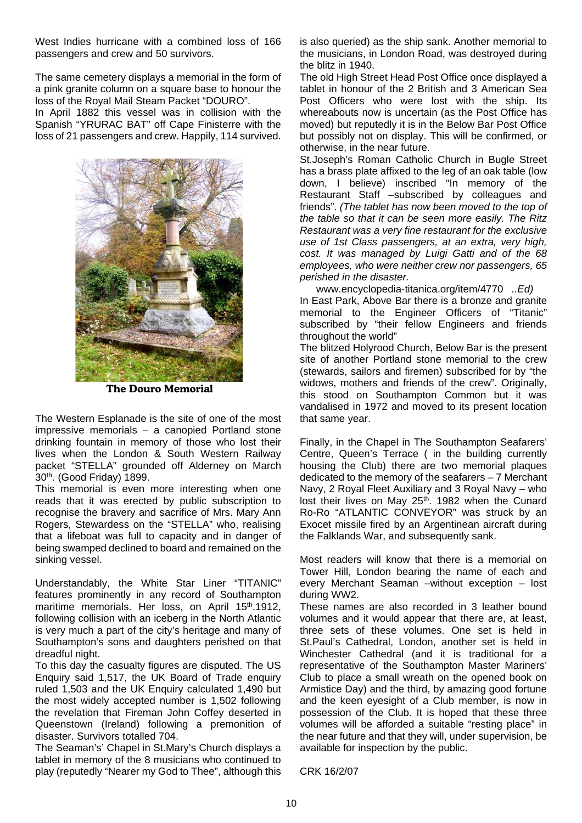West Indies hurricane with a combined loss of 166 passengers and crew and 50 survivors.

The same cemetery displays a memorial in the form of a pink granite column on a square base to honour the loss of the Royal Mail Steam Packet "DOURO". In April 1882 this vessel was in collision with the Spanish "YRURAC BAT" off Cape Finisterre with the loss of 21 passengers and crew. Happily, 114 survived.



**The Douro Memorial**

The Western Esplanade is the site of one of the most impressive memorials – a canopied Portland stone drinking fountain in memory of those who lost their lives when the London & South Western Railway packet "STELLA" grounded off Alderney on March 30th. (Good Friday) 1899.

This memorial is even more interesting when one reads that it was erected by public subscription to recognise the bravery and sacrifice of Mrs. Mary Ann Rogers, Stewardess on the "STELLA" who, realising that a lifeboat was full to capacity and in danger of being swamped declined to board and remained on the sinking vessel.

Understandably, the White Star Liner "TITANIC" features prominently in any record of Southampton maritime memorials. Her loss, on April 15<sup>th</sup>.1912, following collision with an iceberg in the North Atlantic is very much a part of the city's heritage and many of Southampton's sons and daughters perished on that dreadful night.

To this day the casualty figures are disputed. The US Enquiry said 1,517, the UK Board of Trade enquiry ruled 1,503 and the UK Enquiry calculated 1,490 but the most widely accepted number is 1,502 following the revelation that Fireman John Coffey deserted in Queenstown (Ireland) following a premonition of disaster. Survivors totalled 704.

The Seaman's' Chapel in St.Mary's Church displays a tablet in memory of the 8 musicians who continued to play (reputedly "Nearer my God to Thee", although this

is also queried) as the ship sank. Another memorial to the musicians, in London Road, was destroyed during the blitz in 1940.

The old High Street Head Post Office once displayed a tablet in honour of the 2 British and 3 American Sea Post Officers who were lost with the ship. Its whereabouts now is uncertain (as the Post Office has moved) but reputedly it is in the Below Bar Post Office but possibly not on display. This will be confirmed, or otherwise, in the near future.

St.Joseph's Roman Catholic Church in Bugle Street has a brass plate affixed to the leg of an oak table (low down, I believe) inscribed "In memory of the Restaurant Staff –subscribed by colleagues and friends". *(The tablet has now been moved to the top of the table so that it can be seen more easily. The Ritz Restaurant was a very fine restaurant for the exclusive use of 1st Class passengers, at an extra, very high, cost. It was managed by Luigi Gatti and of the 68 employees, who were neither crew nor passengers, 65 perished in the disaster.*

www.encyclopedia-titanica.org/item/4770 *..Ed)* In East Park, Above Bar there is a bronze and granite memorial to the Engineer Officers of "Titanic" subscribed by "their fellow Engineers and friends throughout the world"

The blitzed Holyrood Church, Below Bar is the present site of another Portland stone memorial to the crew (stewards, sailors and firemen) subscribed for by "the widows, mothers and friends of the crew". Originally, this stood on Southampton Common but it was vandalised in 1972 and moved to its present location that same year.

Finally, in the Chapel in The Southampton Seafarers' Centre, Queen's Terrace ( in the building currently housing the Club) there are two memorial plaques dedicated to the memory of the seafarers – 7 Merchant Navy, 2 Royal Fleet Auxiliary and 3 Royal Navy – who lost their lives on May 25<sup>th</sup>. 1982 when the Cunard Ro-Ro "ATLANTIC CONVEYOR" was struck by an Exocet missile fired by an Argentinean aircraft during the Falklands War, and subsequently sank.

Most readers will know that there is a memorial on Tower Hill, London bearing the name of each and every Merchant Seaman –without exception – lost during WW2.

These names are also recorded in 3 leather bound volumes and it would appear that there are, at least, three sets of these volumes. One set is held in St.Paul's Cathedral, London, another set is held in Winchester Cathedral (and it is traditional for a representative of the Southampton Master Mariners' Club to place a small wreath on the opened book on Armistice Day) and the third, by amazing good fortune and the keen eyesight of a Club member, is now in possession of the Club. It is hoped that these three volumes will be afforded a suitable "resting place" in the near future and that they will, under supervision, be available for inspection by the public.

CRK 16/2/07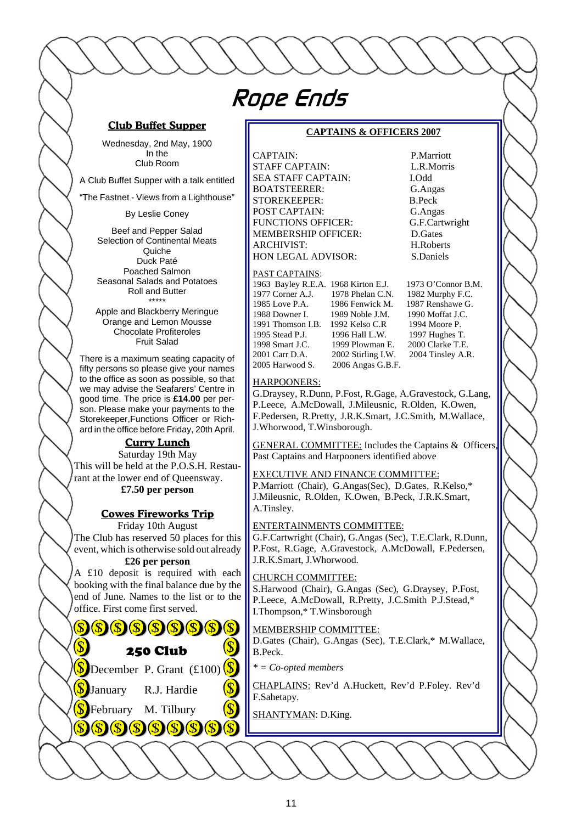## Rope Ends

#### **Club Buffet Supper**

Wednesday, 2nd May, 1900 In the Club Room

A Club Buffet Supper with a talk entitled

"The Fastnet - Views from a Lighthouse"

By Leslie Coney

Beef and Pepper Salad Selection of Continental Meats Quiche Duck Paté Poached Salmon Seasonal Salads and Potatoes Roll and Butter \*\*\*\*\*

Apple and Blackberry Meringue Orange and Lemon Mousse Chocolate Profiteroles Fruit Salad

There is a maximum seating capacity of fifty persons so please give your names to the office as soon as possible, so that we may advise the Seafarers' Centre in good time. The price is **£14.00** per person. Please make your payments to the Storekeeper,Functions Officer or Richard in the office before Friday, 20th April.

#### **Curry Lunch**

Saturday 19th May This will be held at the P.O.S.H. Restaurant at the lower end of Queensway. **£7.50 per person**

## **Cowes Fireworks Trip**

Friday 10th August

The Club has reserved 50 places for this event, which is otherwise sold out already

#### **£26 per person**

A £10 deposit is required with each booking with the final balance due by the end of June. Names to the list or to the office. First come first served.



#### **CAPTAINS & OFFICERS 2007**

CAPTAIN: P.Marriott STAFF CAPTAIN: L.R.Morris SEA STAFF CAPTAIN: I.Odd BOATSTEERER: G.Angas STOREKEEPER: B.Peck POST CAPTAIN: G.Angas FUNCTIONS OFFICER: **G.F.Cartwright** MEMBERSHIP OFFICER: D.Gates ARCHIVIST<sup>.</sup> H.Roberts HON LEGAL ADVISOR: S.Daniels

PAST CAPTAINS:

1963 Bayley R.E.A. 1968 Kirton E.J. 1973 O'Connor B.M. 1977 Corner A.J. 1978 Phelan C.N. 1982 Murphy F.C. 1985 Love P.A. 1986 Fenwick M. 1987 Renshawe G.<br>1988 Downer L. 1989 Noble J.M. 1990 Moffat J.C. 1991 Thomson I.B. 1992 Kelso C.R 1994 Moore P. 1995 Stead P.J. 1996 Hall L.W. 1997 Hughes T. 1998 Smart J.C. 1999 Plowman E. 2000 Clarke T.E. 2001 Carr D.A. 2002 Stirling I.W. 2004 Tinsley A.R. 2005 Harwood S. 2006 Angas G.B.F.

1989 Noble J.M. 1990 Moffat J.C.

#### HARPOONERS:

G.Draysey, R.Dunn, P.Fost, R.Gage, A.Gravestock, G.Lang, P.Leece, A.McDowall, J.Mileusnic, R.Olden, K.Owen, F.Pedersen, R.Pretty, J.R.K.Smart, J.C.Smith, M.Wallace, J.Whorwood, T.Winsborough.

GENERAL COMMITTEE: Includes the Captains & Officers, Past Captains and Harpooners identified above

EXECUTIVE AND FINANCE COMMITTEE: P.Marriott (Chair), G.Angas(Sec), D.Gates, R.Kelso,\* J.Mileusnic, R.Olden, K.Owen, B.Peck, J.R.K.Smart, A.Tinsley.

#### ENTERTAINMENTS COMMITTEE:

G.F.Cartwright (Chair), G.Angas (Sec), T.E.Clark, R.Dunn, P.Fost, R.Gage, A.Gravestock, A.McDowall, F.Pedersen, J.R.K.Smart, J.Whorwood.

#### CHURCH COMMITTEE:

S.Harwood (Chair), G.Angas (Sec), G.Draysey, P.Fost, P.Leece, A.McDowall, R.Pretty, J.C.Smith P.J.Stead,\* I.Thompson,\* T.Winsborough

#### MEMBERSHIP COMMITTEE:

D.Gates (Chair), G.Angas (Sec), T.E.Clark,\* M.Wallace, B.Peck.

*\* = Co-opted members*

CHAPLAINS: Rev'd A.Huckett, Rev'd P.Foley. Rev'd F.Sahetapy.

SHANTYMAN: D.King.